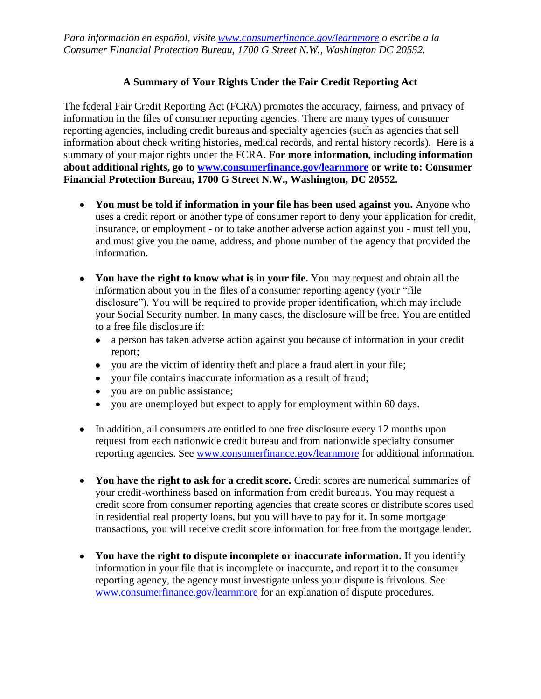*Para información en español, visite www.consumerfinance.gov/learnmore o escribe a la Consumer Financial Protection Bureau, 1700 G Street N.W., Washington DC 20552.*

## **A Summary of Your Rights Under the Fair Credit Reporting Act**

The federal Fair Credit Reporting Act (FCRA) promotes the accuracy, fairness, and privacy of information in the files of consumer reporting agencies. There are many types of consumer reporting agencies, including credit bureaus and specialty agencies (such as agencies that sell information about check writing histories, medical records, and rental history records). Here is a summary of your major rights under the FCRA. **For more information, including information about additional rights, go to [www.consumerfinance.gov/learnmore](http://www.consumerfinance.gov/learnmore) or write to: Consumer Financial Protection Bureau, 1700 G Street N.W., Washington, DC 20552.**

- **You must be told if information in your file has been used against you.** Anyone who uses a credit report or another type of consumer report to deny your application for credit, insurance, or employment - or to take another adverse action against you - must tell you, and must give you the name, address, and phone number of the agency that provided the information.
- **You have the right to know what is in your file.** You may request and obtain all the information about you in the files of a consumer reporting agency (your "file disclosure"). You will be required to provide proper identification, which may include your Social Security number. In many cases, the disclosure will be free. You are entitled to a free file disclosure if:
	- a person has taken adverse action against you because of information in your credit report;
	- you are the victim of identity theft and place a fraud alert in your file;
	- your file contains inaccurate information as a result of fraud;
	- you are on public assistance;
	- you are unemployed but expect to apply for employment within 60 days.
- In addition, all consumers are entitled to one free disclosure every 12 months upon request from each nationwide credit bureau and from nationwide specialty consumer reporting agencies. See [www.consumerfinance.gov/learnmore](http://www.consumerfinance.gov/learnmore) for additional information.
- **You have the right to ask for a credit score.** Credit scores are numerical summaries of your credit-worthiness based on information from credit bureaus. You may request a credit score from consumer reporting agencies that create scores or distribute scores used in residential real property loans, but you will have to pay for it. In some mortgage transactions, you will receive credit score information for free from the mortgage lender.
- **You have the right to dispute incomplete or inaccurate information.** If you identify information in your file that is incomplete or inaccurate, and report it to the consumer reporting agency, the agency must investigate unless your dispute is frivolous. See [www.consumerfinance.gov/learnmore](http://www.consumerfinance.gov/learnmore) for an explanation of dispute procedures.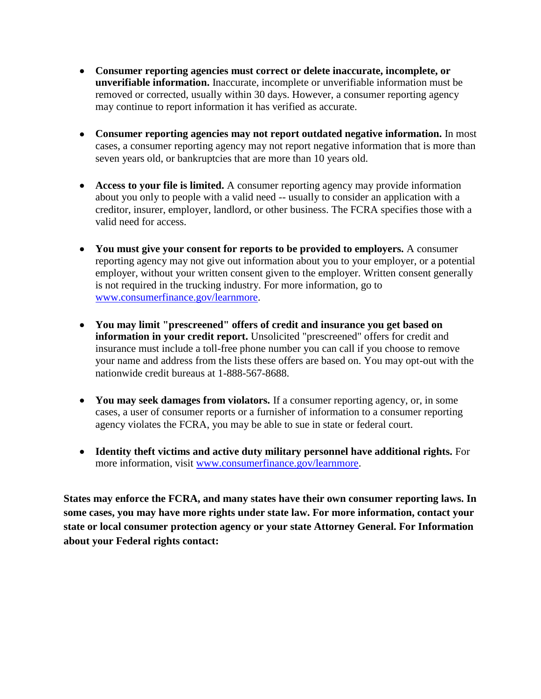- **Consumer reporting agencies must correct or delete inaccurate, incomplete, or unverifiable information.** Inaccurate, incomplete or unverifiable information must be removed or corrected, usually within 30 days. However, a consumer reporting agency may continue to report information it has verified as accurate.
- **Consumer reporting agencies may not report outdated negative information.** In most cases, a consumer reporting agency may not report negative information that is more than seven years old, or bankruptcies that are more than 10 years old.
- **Access to your file is limited.** A consumer reporting agency may provide information about you only to people with a valid need -- usually to consider an application with a creditor, insurer, employer, landlord, or other business. The FCRA specifies those with a valid need for access.
- **You must give your consent for reports to be provided to employers.** A consumer reporting agency may not give out information about you to your employer, or a potential employer, without your written consent given to the employer. Written consent generally is not required in the trucking industry. For more information, go to [www.consumerfinance.gov/learnmore.](http://www.consumerfinance.gov/learnmore)
- **You may limit "prescreened" offers of credit and insurance you get based on information in your credit report.** Unsolicited "prescreened" offers for credit and insurance must include a toll-free phone number you can call if you choose to remove your name and address from the lists these offers are based on. You may opt-out with the nationwide credit bureaus at 1-888-567-8688.
- **You may seek damages from violators.** If a consumer reporting agency, or, in some cases, a user of consumer reports or a furnisher of information to a consumer reporting agency violates the FCRA, you may be able to sue in state or federal court.
- **Identity theft victims and active duty military personnel have additional rights.** For more information, visit [www.consumerfinance.gov/learnmore.](http://www.consumerfinance.gov/learnmore)

**States may enforce the FCRA, and many states have their own consumer reporting laws. In some cases, you may have more rights under state law. For more information, contact your state or local consumer protection agency or your state Attorney General. For Information about your Federal rights contact:**